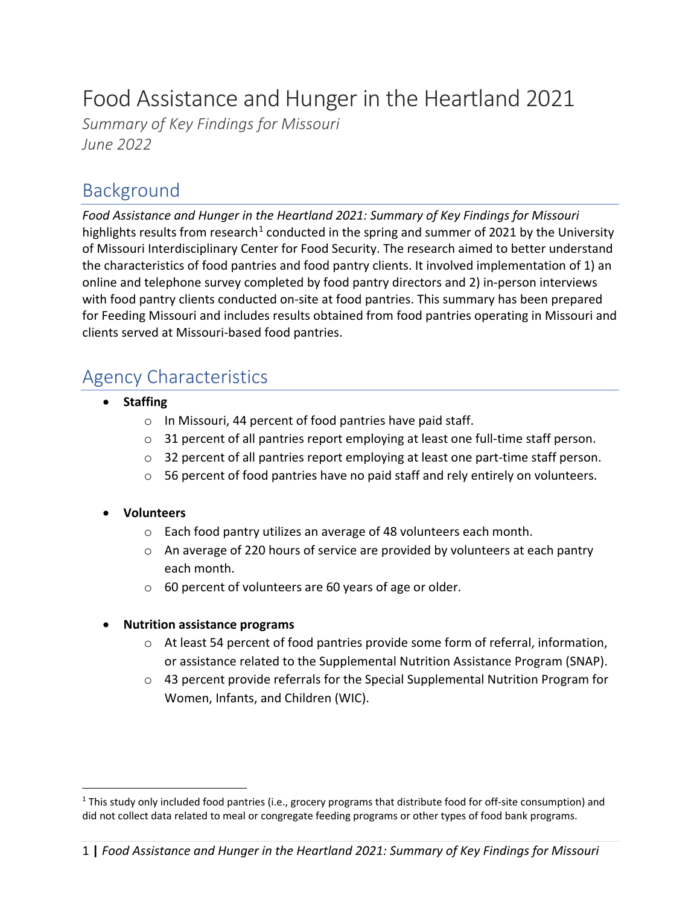# Food Assistance and Hunger in the Heartland 2021

*Summary of Key Findings for Missouri June 2022*

### Background

*Food Assistance and Hunger in the Heartland 2021: Summary of Key Findings for Missouri*  highlights results from research<sup>[1](#page-0-0)</sup> conducted in the spring and summer of 2021 by the University of Missouri Interdisciplinary Center for Food Security. The research aimed to better understand the characteristics of food pantries and food pantry clients. It involved implementation of 1) an online and telephone survey completed by food pantry directors and 2) in-person interviews with food pantry clients conducted on-site at food pantries. This summary has been prepared for Feeding Missouri and includes results obtained from food pantries operating in Missouri and clients served at Missouri-based food pantries.

## Agency Characteristics

- **Staffing**
	- o In Missouri, 44 percent of food pantries have paid staff.
	- $\circ$  31 percent of all pantries report employing at least one full-time staff person.
	- $\circ$  32 percent of all pantries report employing at least one part-time staff person.
	- $\circ$  56 percent of food pantries have no paid staff and rely entirely on volunteers.

#### • **Volunteers**

- o Each food pantry utilizes an average of 48 volunteers each month.
- o An average of 220 hours of service are provided by volunteers at each pantry each month.
- o 60 percent of volunteers are 60 years of age or older.

#### • **Nutrition assistance programs**

- o At least 54 percent of food pantries provide some form of referral, information, or assistance related to the Supplemental Nutrition Assistance Program (SNAP).
- $\circ$  43 percent provide referrals for the Special Supplemental Nutrition Program for Women, Infants, and Children (WIC).

<span id="page-0-0"></span> $1$  This study only included food pantries (i.e., grocery programs that distribute food for off-site consumption) and did not collect data related to meal or congregate feeding programs or other types of food bank programs.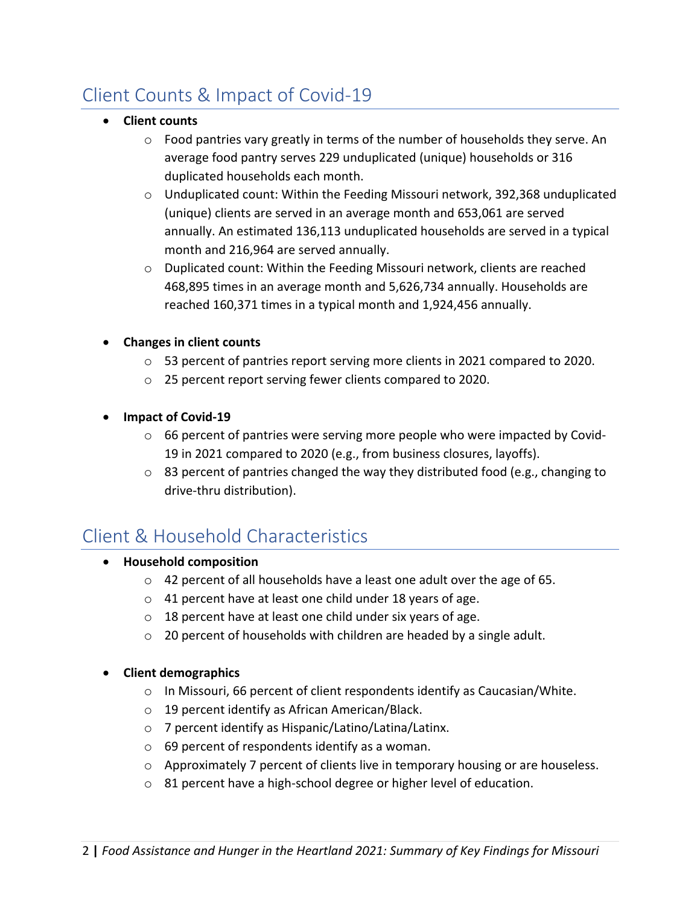## Client Counts & Impact of Covid-19

- **Client counts**
	- $\circ$  Food pantries vary greatly in terms of the number of households they serve. An average food pantry serves 229 unduplicated (unique) households or 316 duplicated households each month.
	- o Unduplicated count: Within the Feeding Missouri network, 392,368 unduplicated (unique) clients are served in an average month and 653,061 are served annually. An estimated 136,113 unduplicated households are served in a typical month and 216,964 are served annually.
	- $\circ$  Duplicated count: Within the Feeding Missouri network, clients are reached 468,895 times in an average month and 5,626,734 annually. Households are reached 160,371 times in a typical month and 1,924,456 annually.
- **Changes in client counts** 
	- o 53 percent of pantries report serving more clients in 2021 compared to 2020.
	- o 25 percent report serving fewer clients compared to 2020.
- **Impact of Covid-19**
	- $\circ$  66 percent of pantries were serving more people who were impacted by Covid-19 in 2021 compared to 2020 (e.g., from business closures, layoffs).
	- $\circ$  83 percent of pantries changed the way they distributed food (e.g., changing to drive-thru distribution).

## Client & Household Characteristics

- **Household composition**
	- o 42 percent of all households have a least one adult over the age of 65.
	- o 41 percent have at least one child under 18 years of age.
	- $\circ$  18 percent have at least one child under six years of age.
	- o 20 percent of households with children are headed by a single adult.

#### • **Client demographics**

- o In Missouri, 66 percent of client respondents identify as Caucasian/White.
- o 19 percent identify as African American/Black.
- o 7 percent identify as Hispanic/Latino/Latina/Latinx.
- o 69 percent of respondents identify as a woman.
- $\circ$  Approximately 7 percent of clients live in temporary housing or are houseless.
- o 81 percent have a high-school degree or higher level of education.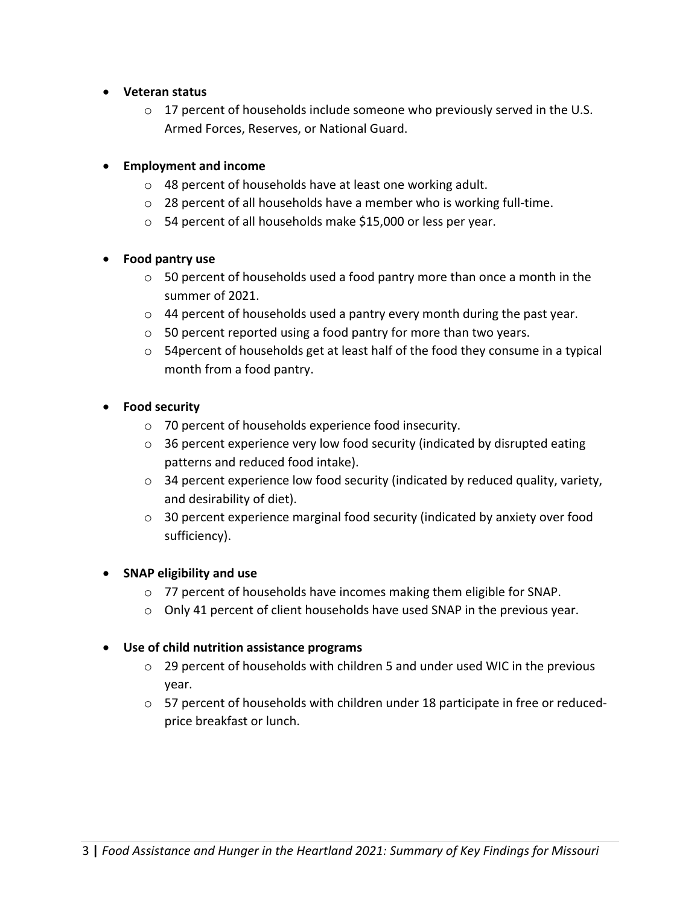- **Veteran status**
	- $\circ$  17 percent of households include someone who previously served in the U.S. Armed Forces, Reserves, or National Guard.

#### • **Employment and income**

- o 48 percent of households have at least one working adult.
- o 28 percent of all households have a member who is working full-time.
- o 54 percent of all households make \$15,000 or less per year.

#### • **Food pantry use**

- $\circ$  50 percent of households used a food pantry more than once a month in the summer of 2021.
- o 44 percent of households used a pantry every month during the past year.
- o 50 percent reported using a food pantry for more than two years.
- o 54percent of households get at least half of the food they consume in a typical month from a food pantry.

#### • **Food security**

- o 70 percent of households experience food insecurity.
- $\circ$  36 percent experience very low food security (indicated by disrupted eating patterns and reduced food intake).
- o 34 percent experience low food security (indicated by reduced quality, variety, and desirability of diet).
- $\circ$  30 percent experience marginal food security (indicated by anxiety over food sufficiency).

#### • **SNAP eligibility and use**

- o 77 percent of households have incomes making them eligible for SNAP.
- $\circ$  Only 41 percent of client households have used SNAP in the previous year.

#### • **Use of child nutrition assistance programs**

- $\circ$  29 percent of households with children 5 and under used WIC in the previous year.
- $\circ$  57 percent of households with children under 18 participate in free or reducedprice breakfast or lunch.